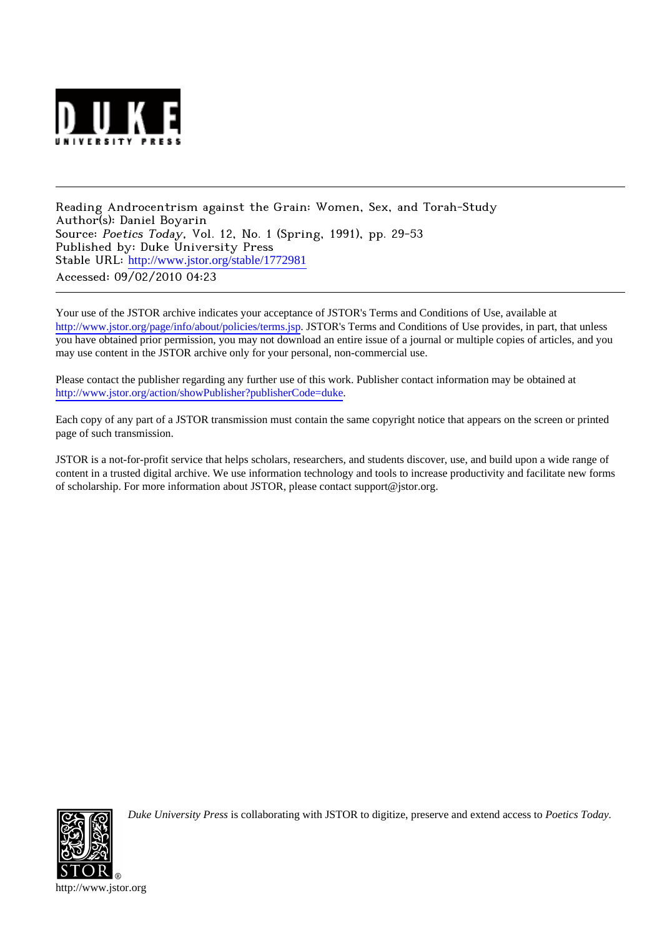

Reading Androcentrism against the Grain: Women, Sex, and Torah-Study Author(s): Daniel Boyarin Source: Poetics Today, Vol. 12, No. 1 (Spring, 1991), pp. 29-53 Published by: Duke University Press Stable URL: [http://www.jstor.org/stable/1772981](http://www.jstor.org/stable/1772981?origin=JSTOR-pdf) Accessed: 09/02/2010 04:23

Your use of the JSTOR archive indicates your acceptance of JSTOR's Terms and Conditions of Use, available at <http://www.jstor.org/page/info/about/policies/terms.jsp>. JSTOR's Terms and Conditions of Use provides, in part, that unless you have obtained prior permission, you may not download an entire issue of a journal or multiple copies of articles, and you may use content in the JSTOR archive only for your personal, non-commercial use.

Please contact the publisher regarding any further use of this work. Publisher contact information may be obtained at <http://www.jstor.org/action/showPublisher?publisherCode=duke>.

Each copy of any part of a JSTOR transmission must contain the same copyright notice that appears on the screen or printed page of such transmission.

JSTOR is a not-for-profit service that helps scholars, researchers, and students discover, use, and build upon a wide range of content in a trusted digital archive. We use information technology and tools to increase productivity and facilitate new forms of scholarship. For more information about JSTOR, please contact support@jstor.org.



*Duke University Press* is collaborating with JSTOR to digitize, preserve and extend access to *Poetics Today.*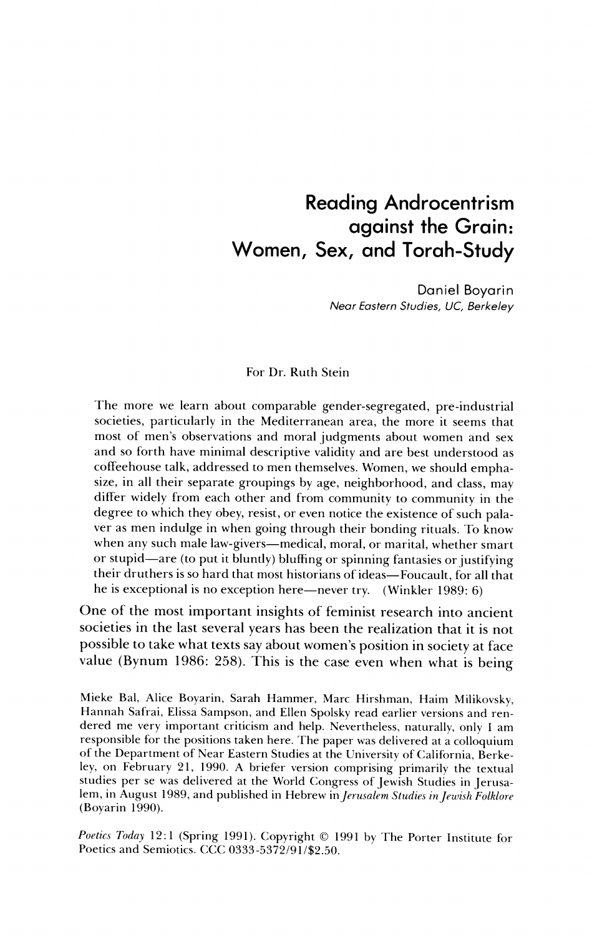# **Reading Androcentrism against the Grain: Women, Sex, and Torah-Study**

**Daniel Boyarin Near Eastern Studies, UC, Berkeley** 

## **For Dr. Ruth Stein**

**The more we learn about comparable gender-segregated, pre-industrial societies, particularly in the Mediterranean area, the more it seems that most of men's observations and moral judgments about women and sex and so forth have minimal descriptive validity and are best understood as coffeehouse talk, addressed to men themselves. Women, we should emphasize, in all their separate groupings by age, neighborhood, and class, may differ widely from each other and from community to community in the degree to which they obey, resist, or even notice the existence of such palaver as men indulge in when going through their bonding rituals. To know**  when any such male law-givers—medical, moral, or marital, whether smart **or stupid-are (to put it bluntly) bluffing or spinning fantasies or justifying their druthers is so hard that most historians of ideas-Foucault, for all that**  he is exceptional is no exception here—never try. (Winkler 1989: 6)

**One of the most important insights of feminist research into ancient societies in the last several years has been the realization that it is not possible to take what texts say about women's position in society at face value (Bynum 1986: 258). This is the case even when what is being** 

**Mieke Bal, Alice Boyarin, Sarah Hammer, Marc Hirshman, Haim Milikovsky, Hannah Safrai, Elissa Sampson, and Ellen Spolsky read earlier versions and rendered me very important criticism and help. Nevertheless, naturally, only I am**  of the Department of Near Eastern Studies at the University of California, Berke**ley, on February 21, 1990. A briefer version comprising primarily the textual studies per se was delivered at the World Congress of Jewish Studies in Jerusalem, in August 1989, and published in Hebrew in Jerusalem Studies in Jewish Folklore (Boyarin 1990).** 

Poetics Today 12:1 (Spring 1991). Copyright © 1991 by The Porter Institute for **Poetics and Semiotics. CCC 0333-5372/91/\$2.50.**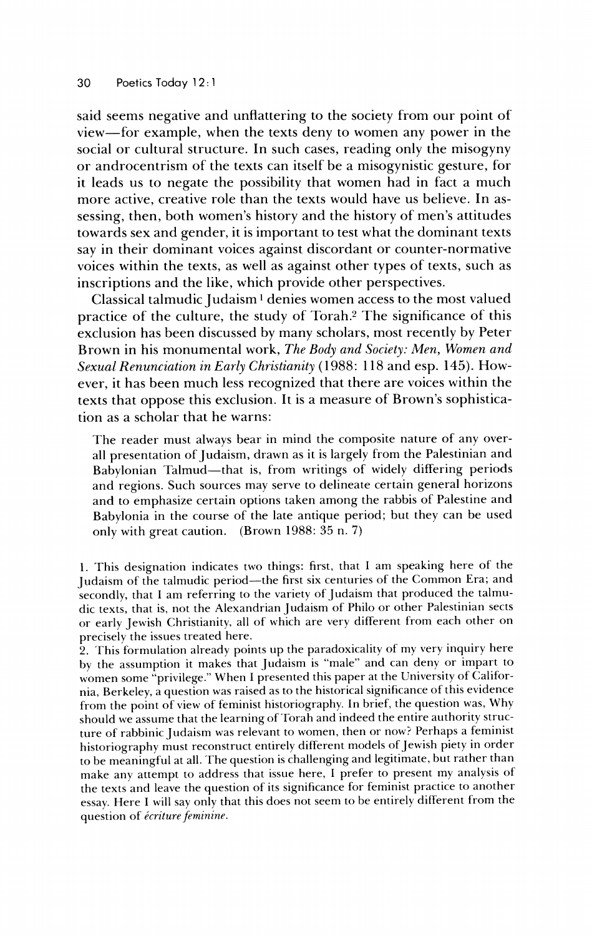**said seems negative and unflattering to the society from our point of view-for example, when the texts deny to women any power in the social or cultural structure. In such cases, reading only the misogyny or androcentrism of the texts can itself be a misogynistic gesture, for it leads us to negate the possibility that women had in fact a much more active, creative role than the texts would have us believe. In assessing, then, both women's history and the history of men's attitudes towards sex and gender, it is important to test what the dominant texts say in their dominant voices against discordant or counter-normative voices within the texts, as well as against other types of texts, such as inscriptions and the like, which provide other perspectives.** 

**Classical talmudic Judaism 1 denies women access to the most valued practice of the culture, the study of Torah.2 The significance of this exclusion has been discussed by many scholars, most recently by Peter Brown in his monumental work, The Body and Society: Men, Women and Sexual Renunciation in Early Christianity (1988: 118 and esp. 145). However, it has been much less recognized that there are voices within the texts that oppose this exclusion. It is a measure of Brown's sophistication as a scholar that he warns:** 

**The reader must always bear in mind the composite nature of any overall presentation of Judaism, drawn as it is largely from the Palestinian and Babylonian Talmud-that is, from writings of widely differing periods and regions. Such sources may serve to delineate certain general horizons and to emphasize certain options taken among the rabbis of Palestine and Babylonia in the course of the late antique period; but they can be used only with great caution. (Brown 1988: 35 n. 7)** 

**1. This designation indicates two things: first, that I am speaking here of the Judaism of the talmudic period-the first six centuries of the Common Era; and secondly, that I am referring to the variety of Judaism that produced the talmudic texts, that is, not the Alexandrian Judaism of Philo or other Palestinian sects or early Jewish Christianity, all of which are very different from each other on precisely the issues treated here.** 

**2. This formulation already points up the paradoxicality of my very inquiry here by the assumption it makes that Judaism is "male" and can deny or impart to women some "privilege." When I presented this paper at the University of California, Berkeley, a question was raised as to the historical significance of this evidence from the point of view of feminist historiography. In brief, the question was, Why should we assume that the learning of Torah and indeed the entire authority structure of rabbinic Judaism was relevant to women, then or now? Perhaps a feminist historiography must reconstruct entirely different models of Jewish piety in order to be meaningful at all. The question is challenging and legitimate, but rather than make any attempt to address that issue here, I prefer to present my analysis of the texts and leave the question of its significance for feminist practice to another essay. Here I will say only that this does not seem to be entirely different from the question of ecriture feminine.**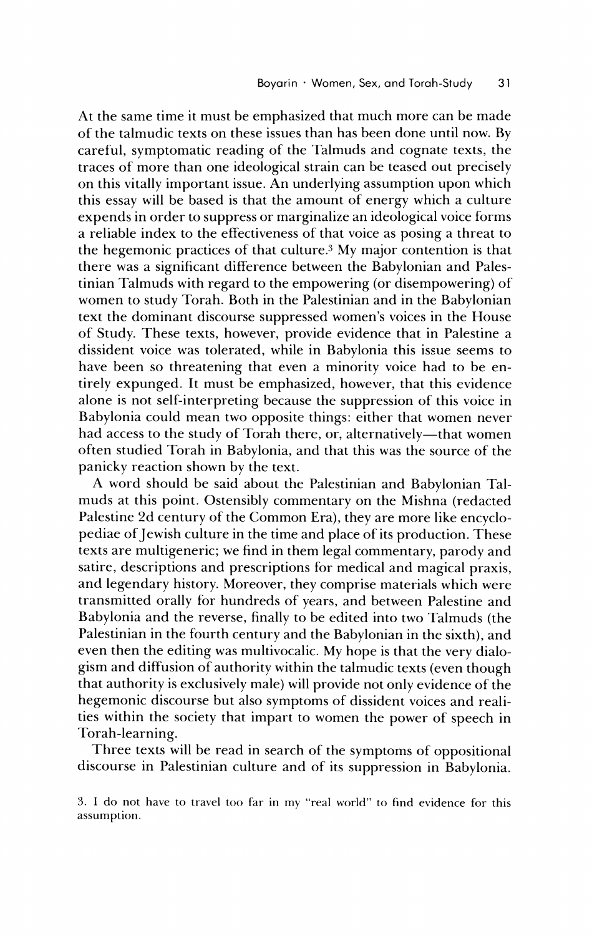**At the same time it must be emphasized that much more can be made of the talmudic texts on these issues than has been done until now. By careful, symptomatic reading of the Talmuds and cognate texts, the traces of more than one ideological strain can be teased out precisely on this vitally important issue. An underlying assumption upon which this essay will be based is that the amount of energy which a culture expends in order to suppress or marginalize an ideological voice forms a reliable index to the effectiveness of that voice as posing a threat to the hegemonic practices of that culture.3 My major contention is that there was a significant difference between the Babylonian and Palestinian Talmuds with regard to the empowering (or disempowering) of women to study Torah. Both in the Palestinian and in the Babylonian text the dominant discourse suppressed women's voices in the House of Study. These texts, however, provide evidence that in Palestine a dissident voice was tolerated, while in Babylonia this issue seems to have been so threatening that even a minority voice had to be entirely expunged. It must be emphasized, however, that this evidence alone is not self-interpreting because the suppression of this voice in Babylonia could mean two opposite things: either that women never**  had access to the study of Torah there, or, alternatively-that women **often studied Torah in Babylonia, and that this was the source of the panicky reaction shown by the text.** 

**A word should be said about the Palestinian and Babylonian Talmuds at this point. Ostensibly commentary on the Mishna (redacted Palestine 2d century of the Common Era), they are more like encyclopediae of Jewish culture in the time and place of its production. These texts are multigeneric; we find in them legal commentary, parody and satire, descriptions and prescriptions for medical and magical praxis, and legendary history. Moreover, they comprise materials which were transmitted orally for hundreds of years, and between Palestine and Babylonia and the reverse, finally to be edited into two Talmuds (the Palestinian in the fourth century and the Babylonian in the sixth), and even then the editing was multivocalic. My hope is that the very dialogism and diffusion of authority within the talmudic texts (even though that authority is exclusively male) will provide not only evidence of the hegemonic discourse but also symptoms of dissident voices and realities within the society that impart to women the power of speech in Torah-learning.** 

**Three texts will be read in search of the symptoms of oppositional discourse in Palestinian culture and of its suppression in Babylonia.** 

**<sup>3.</sup> I do not have to travel too far in my "real world" to find evidence for this assumption.**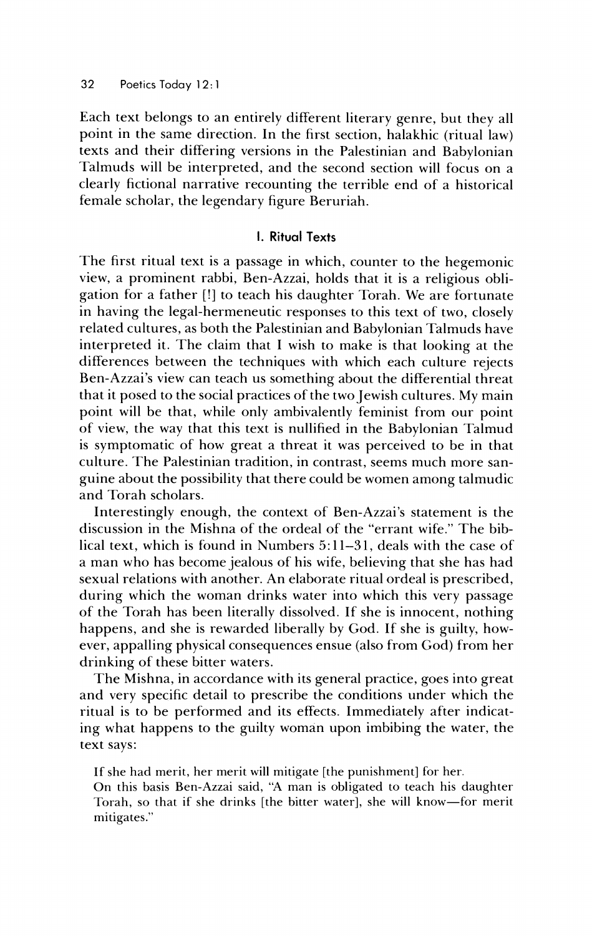**Each text belongs to an entirely different literary genre, but they all point in the same direction. In the first section, halakhic (ritual law) texts and their differing versions in the Palestinian and Babylonian Talmuds will be interpreted, and the second section will focus on a clearly fictional narrative recounting the terrible end of a historical female scholar, the legendary figure Beruriah.** 

# **I. Ritual Texts**

**The first ritual text is a passage in which, counter to the hegemonic view, a prominent rabbi, Ben-Azzai, holds that it is a religious obligation for a father [!] to teach his daughter Torah. We are fortunate in having the legal-hermeneutic responses to this text of two, closely related cultures, as both the Palestinian and Babylonian Talmuds have interpreted it. The claim that I wish to make is that looking at the differences between the techniques with which each culture rejects Ben-Azzai's view can teach us something about the differential threat that it posed to the social practices of the two Jewish cultures. My main point will be that, while only ambivalently feminist from our point of view, the way that this text is nullified in the Babylonian Talmud is symptomatic of how great a threat it was perceived to be in that culture. The Palestinian tradition, in contrast, seems much more sanguine about the possibility that there could be women among talmudic and Torah scholars.** 

**Interestingly enough, the context of Ben-Azzai's statement is the discussion in the Mishna of the ordeal of the "errant wife." The biblical text, which is found in Numbers 5:11-31, deals with the case of a man who has become jealous of his wife, believing that she has had sexual relations with another. An elaborate ritual ordeal is prescribed, during which the woman drinks water into which this very passage of the Torah has been literally dissolved. If she is innocent, nothing happens, and she is rewarded liberally by God. If she is guilty, however, appalling physical consequences ensue (also from God) from her drinking of these bitter waters.** 

**The Mishna, in accordance with its general practice, goes into great and very specific detail to prescribe the conditions under which the ritual is to be performed and its effects. Immediately after indicating what happens to the guilty woman upon imbibing the water, the text says:** 

**If she had merit, her merit will mitigate [the punishment] for her.** 

**On this basis Ben-Azzai said, "A man is obligated to teach his daughter Torah, so that if she drinks [the bitter water], she will know-for merit mitigates."**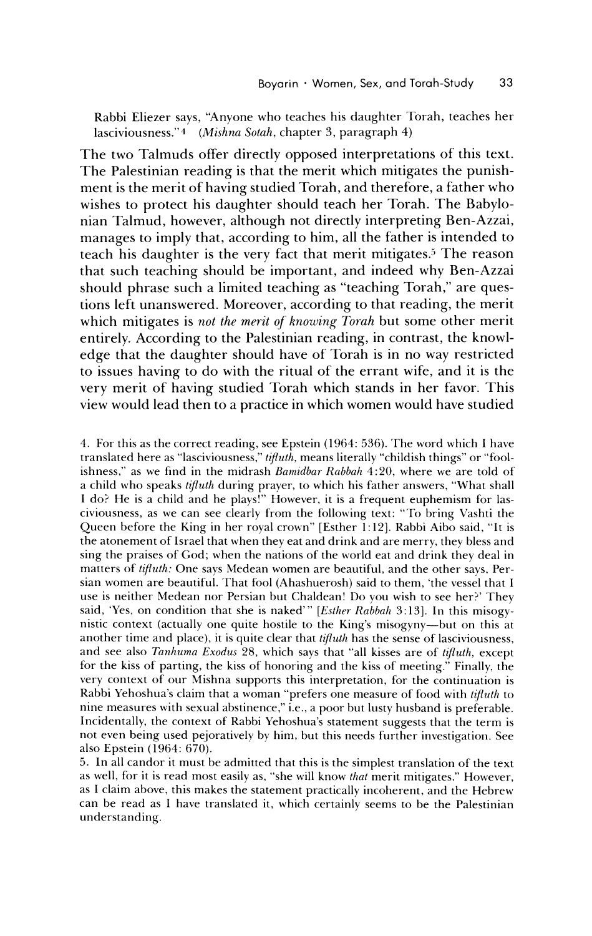**Rabbi Eliezer says, "Anyone who teaches his daughter Torah, teaches her lasciviousness."4 (Mishna Sotah, chapter 3, paragraph 4)** 

**The two Talmuds offer directly opposed interpretations of this text. The Palestinian reading is that the merit which mitigates the punishment is the merit of having studied Torah, and therefore, a father who wishes to protect his daughter should teach her Torah. The Babylonian Talmud, however, although not directly interpreting Ben-Azzai, manages to imply that, according to him, all the father is intended to teach his daughter is the very fact that merit mitigates.5 The reason that such teaching should be important, and indeed why Ben-Azzai should phrase such a limited teaching as "teaching Torah," are questions left unanswered. Moreover, according to that reading, the merit which mitigates is not the merit of knowing Torah but some other merit entirely. According to the Palestinian reading, in contrast, the knowledge that the daughter should have of Torah is in no way restricted to issues having to do with the ritual of the errant wife, and it is the very merit of having studied Torah which stands in her favor. This view would lead then to a practice in which women would have studied** 

**4. For this as the correct reading, see Epstein (1964: 536). The word which I have translated here as "lasciviousness," tifluth, means literally "childish things" or "foolishness," as we find in the midrash Bamidbar Rabbah 4:20, where we are told of a child who speaks tifluth during prayer, to which his father answers, "What shall I do? He is a child and he plays!" However, it is a frequent euphemism for lasciviousness, as we can see clearly from the following text: "To bring Vashti the Queen before the King in her royal crown" [Esther 1:12]. Rabbi Aibo said, "It is the atonement of Israel that when they eat and drink and are merry, they bless and sing the praises of God; when the nations of the world eat and drink they deal in matters of tifluth: One says Medean women are beautiful, and the other says, Persian women are beautiful. That fool (Ahashuerosh) said to them, 'the vessel that I use is neither Medean nor Persian but Chaldean! Do you wish to see her?' They said, 'Yes, on condition that she is naked'" [Esther Rabbah 3:13]. In this misogynistic context (actually one quite hostile to the King's misogyny-but on this at another time and place), it is quite clear that tifluth has the sense of lasciviousness, and see also Tanhuma Exodus 28, which says that "all kisses are of tifluth, except for the kiss of parting, the kiss of honoring and the kiss of meeting." Finally, the very context of our Mishna supports this interpretation, for the continuation is Rabbi Yehoshua's claim that a woman "prefers one measure of food with tifluth to nine measures with sexual abstinence," i.e., a poor but lusty husband is preferable. Incidentally, the context of Rabbi Yehoshua's statement suggests that the term is not even being used pejoratively by him, but this needs further investigation. See also Epstein (1964: 670).** 

**5. In all candor it must be admitted that this is the simplest translation of the text as well, for it is read most easily as, "she will know that merit mitigates." However, as I claim above, this makes the statement practically incoherent, and the Hebrew can be read as I have translated it, which certainly seems to be the Palestinian understanding.**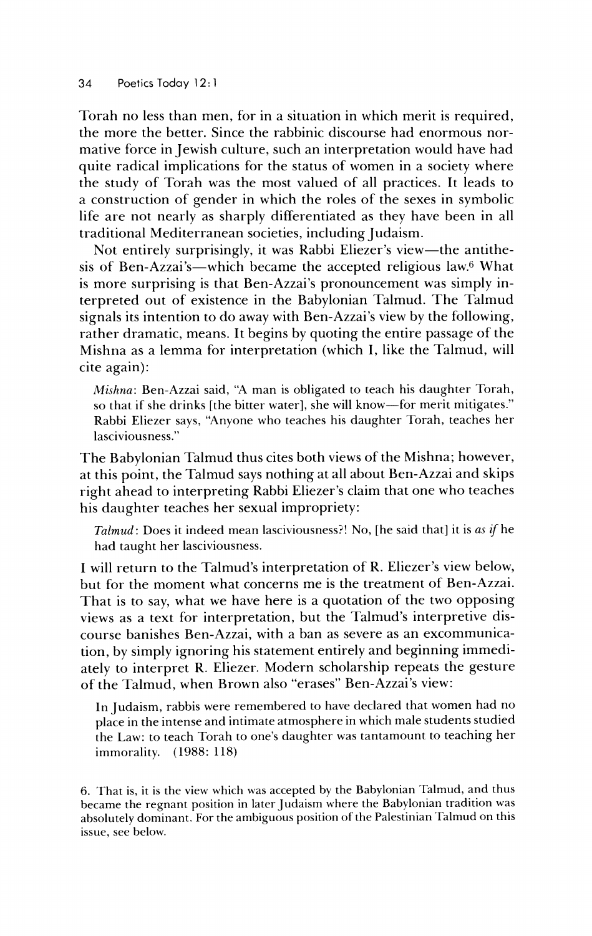**Torah no less than men, for in a situation in which merit is required, the more the better. Since the rabbinic discourse had enormous normative force in Jewish culture, such an interpretation would have had quite radical implications for the status of women in a society where the study of Torah was the most valued of all practices. It leads to a construction of gender in which the roles of the sexes in symbolic life are not nearly as sharply differentiated as they have been in all traditional Mediterranean societies, including Judaism.** 

Not entirely surprisingly, it was Rabbi Eliezer's view—the antithe**sis of Ben-Azzai's-which became the accepted religious law.6 What is more surprising is that Ben-Azzai's pronouncement was simply interpreted out of existence in the Babylonian Talmud. The Talmud signals its intention to do away with Ben-Azzai's view by the following, rather dramatic, means. It begins by quoting the entire passage of the Mishna as a lemma for interpretation (which I, like the Talmud, will cite again):** 

**Mishna: Ben-Azzai said, "A man is obligated to teach his daughter Torah, so that if she drinks [the bitter water], she will know-for merit mitigates." Rabbi Eliezer says, "Anyone who teaches his daughter Torah, teaches her lasciviousness."** 

**The Babylonian Talmud thus cites both views of the Mishna; however, at this point, the Talmud says nothing at all about Ben-Azzai and skips right ahead to interpreting Rabbi Eliezer's claim that one who teaches his daughter teaches her sexual impropriety:** 

**Talmud: Does it indeed mean lasciviousness?! No, [he said that] it is as if he had taught her lasciviousness.** 

**I will return to the Talmud's interpretation of R. Eliezer's view below, but for the moment what concerns me is the treatment of Ben-Azzai. That is to say, what we have here is a quotation of the two opposing views as a text for interpretation, but the Talmud's interpretive discourse banishes Ben-Azzai, with a ban as severe as an excommunication, by simply ignoring his statement entirely and beginning immediately to interpret R. Eliezer. Modern scholarship repeats the gesture of the Talmud, when Brown also "erases" Ben-Azzai's view:** 

**In Judaism, rabbis were remembered to have declared that women had no place in the intense and intimate atmosphere in which male students studied the Law: to teach Torah to one's daughter was tantamount to teaching her immorality. (1988: 118)** 

**6. That is, it is the view which was accepted by the Babylonian Talmud, and thus became the regnant position in later Judaism where the Babylonian tradition was absolutely dominant. For the ambiguous position of the Palestinian Talmud on this issue, see below.**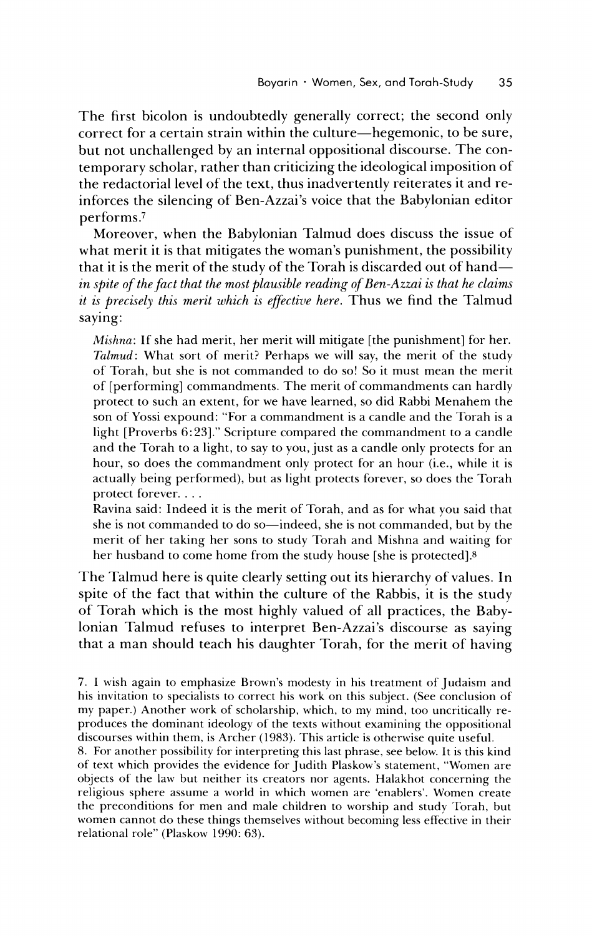**The first bicolon is undoubtedly generally correct; the second only correct for a certain strain within the culture-hegemonic, to be sure, but not unchallenged by an internal oppositional discourse. The contemporary scholar, rather than criticizing the ideological imposition of the redactorial level of the text, thus inadvertently reiterates it and reinforces the silencing of Ben-Azzai's voice that the Babylonian editor performs.7** 

**Moreover, when the Babylonian Talmud does discuss the issue of what merit it is that mitigates the woman's punishment, the possibility that it is the merit of the study of the Torah is discarded out of handin spite of the fact that the most plausible reading of Ben-Azzai is that he claims it is precisely this merit which is effective here. Thus we find the Talmud saying:** 

**Mishna: If she had merit, her merit will mitigate [the punishment] for her. Talmud: What sort of merit? Perhaps we will say, the merit of the study of Torah, but she is not commanded to do so! So it must mean the merit of [performing] commandments. The merit of commandments can hardly protect to such an extent, for we have learned, so did Rabbi Menahem the son of Yossi expound: "For a commandment is a candle and the Torah is a light [Proverbs 6:23]." Scripture compared the commandment to a candle and the Torah to a light, to say to you, just as a candle only protects for an hour, so does the commandment only protect for an hour (i.e., while it is actually being performed), but as light protects forever, so does the Torah protect forever....** 

**Ravina said: Indeed it is the merit of Torah, and as for what you said that**  she is not commanded to do so—indeed, she is not commanded, but by the **merit of her taking her sons to study Torah and Mishna and waiting for her husband to come home from the study house [she is protected].8** 

**The Talmud here is quite clearly setting out its hierarchy of values. In spite of the fact that within the culture of the Rabbis, it is the study of Torah which is the most highly valued of all practices, the Babylonian Talmud refuses to interpret Ben-Azzai's discourse as saying that a man should teach his daughter Torah, for the merit of having** 

**8. For another possibility for interpreting this last phrase, see below. It is this kind of text which provides the evidence for Judith Plaskow's statement, "Women are objects of the law but neither its creators nor agents. Halakhot concerning the religious sphere assume a world in which women are 'enablers'. Women create the preconditions for men and male children to worship and study Torah, but women cannot do these things themselves without becoming less effective in their relational role" (Plaskow 1990: 63).** 

**<sup>7.</sup> I wish again to emphasize Brown's modesty in his treatment of Judaism and his invitation to specialists to correct his work on this subject. (See conclusion of my paper.) Another work of scholarship, which, to my mind, too uncritically reproduces the dominant ideology of the texts without examining the oppositional discourses within them, is Archer (1983). This article is otherwise quite useful.**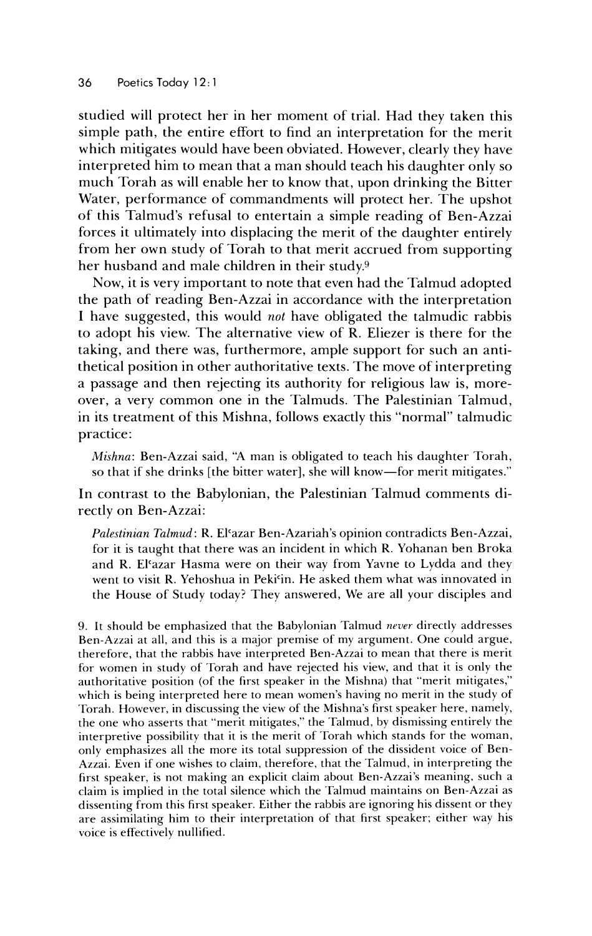**studied will protect her in her moment of trial. Had they taken this simple path, the entire effort to find an interpretation for the merit which mitigates would have been obviated. However, clearly they have interpreted him to mean that a man should teach his daughter only so much Torah as will enable her to know that, upon drinking the Bitter Water, performance of commandments will protect her. The upshot of this Talmud's refusal to entertain a simple reading of Ben-Azzai forces it ultimately into displacing the merit of the daughter entirely from her own study of Torah to that merit accrued from supporting her husband and male children in their study.9** 

**Now, it is very important to note that even had the Talmud adopted the path of reading Ben-Azzai in accordance with the interpretation I have suggested, this would not have obligated the talmudic rabbis to adopt his view. The alternative view of R. Eliezer is there for the taking, and there was, furthermore, ample support for such an antithetical position in other authoritative texts. The move of interpreting a passage and then rejecting its authority for religious law is, moreover, a very common one in the Talmuds. The Palestinian Talmud, in its treatment of this Mishna, follows exactly this "normal" talmudic practice:** 

**Mishna: Ben-Azzai said, "A man is obligated to teach his daughter Torah, so that if she drinks [the bitter water], she will know-for merit mitigates."** 

**In contrast to the Babylonian, the Palestinian Talmud comments directly on Ben-Azzai:** 

**Palestinian Talmud: R. El'azar Ben-Azariah's opinion contradicts Ben-Azzai, for it is taught that there was an incident in which R. Yohanan ben Broka and R. El'azar Hasma were on their way from Yavne to Lydda and they went to visit R. Yehoshua in Peki'in. He asked them what was innovated in the House of Study today? They answered, We are all your disciples and** 

**9. It should be emphasized that the Babylonian Talmud never directly addresses Ben-Azzai at all, and this is a major premise of my argument. One could argue, therefore, that the rabbis have interpreted Ben-Azzai to mean that there is merit for women in study of Torah and have rejected his view, and that it is only the authoritative position (of the first speaker in the Mishna) that "merit mitigates," which is being interpreted here to mean women's having no merit in the study of Torah. However, in discussing the view of the Mishna's first speaker here, namely, the one who asserts that "merit mitigates," the Talmud, by dismissing entirely the interpretive possibility that it is the merit of Torah which stands for the woman, only emphasizes all the more its total suppression of the dissident voice of Ben-Azzai. Even if one wishes to claim, therefore, that the Talmud, in interpreting the first speaker, is not making an explicit claim about Ben-Azzai's meaning, such a claim is implied in the total silence which the Talmud maintains on Ben-Azzai as dissenting from this first speaker. Either the rabbis are ignoring his dissent or they are assimilating him to their interpretation of that first speaker; either way his voice is effectively nullified.**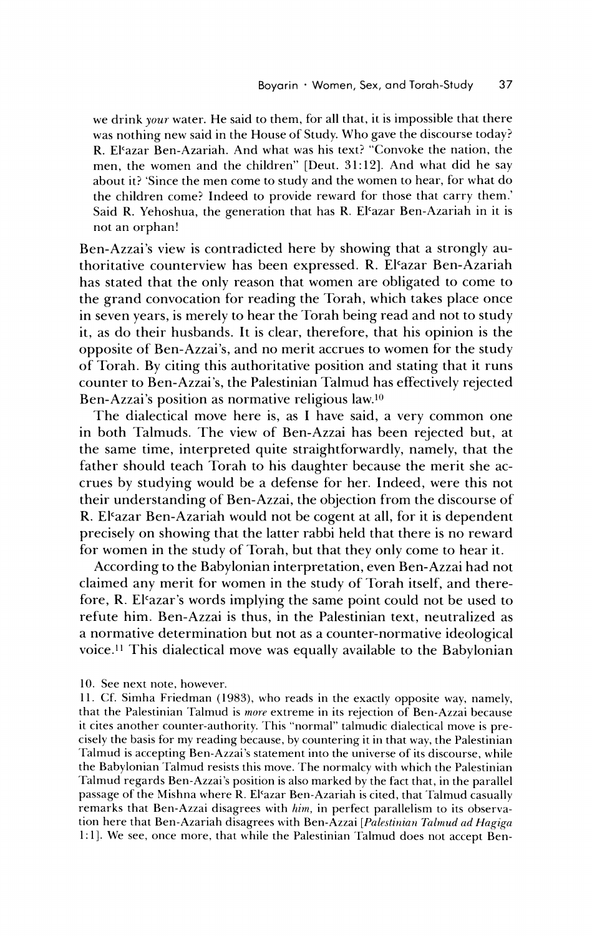**we drink your water. He said to them, for all that, it is impossible that there was nothing new said in the House of Study. Who gave the discourse today? R. El'azar Ben-Azariah. And what was his text? "Convoke the nation, the men, the women and the children" [Deut. 31:12]. And what did he say about it? 'Since the men come to study and the women to hear, for what do the children come? Indeed to provide reward for those that carry them.' Said R. Yehoshua, the generation that has R. El'azar Ben-Azariah in it is not an orphan!** 

**Ben-Azzai's view is contradicted here by showing that a strongly authoritative counterview has been expressed. R. Elcazar Ben-Azariah has stated that the only reason that women are obligated to come to the grand convocation for reading the Torah, which takes place once in seven years, is merely to hear the Torah being read and not to study it, as do their husbands. It is clear, therefore, that his opinion is the opposite of Ben-Azzai's, and no merit accrues to women for the study of Torah. By citing this authoritative position and stating that it runs counter to Ben-Azzai's, the Palestinian Talmud has effectively rejected Ben-Azzai's position as normative religious law.10** 

**The dialectical move here is, as I have said, a very common one in both Talmuds. The view of Ben-Azzai has been rejected but, at the same time, interpreted quite straightforwardly, namely, that the father should teach Torah to his daughter because the merit she accrues by studying would be a defense for her. Indeed, were this not their understanding of Ben-Azzai, the objection from the discourse of R. El'azar Ben-Azariah would not be cogent at all, for it is dependent precisely on showing that the latter rabbi held that there is no reward for women in the study of Torah, but that they only come to hear it.** 

**According to the Babylonian interpretation, even Ben-Azzai had not claimed any merit for women in the study of Torah itself, and therefore, R. El'azar's words implying the same point could not be used to refute him. Ben-Azzai is thus, in the Palestinian text, neutralized as a normative determination but not as a counter-normative ideological voice." This dialectical move was equally available to the Babylonian** 

**10. See next note, however.** 

**11. Cf. Simha Friedman (1983), who reads in the exactly opposite way, namely, that the Palestinian Talmud is more extreme in its rejection of Ben-Azzai because it cites another counter-authority. This "normal" talmudic dialectical move is precisely the basis for my reading because, by countering it in that way, the Palestinian Talmud is accepting Ben-Azzai's statement into the universe of its discourse, while the Babylonian Talmud resists this move. The normalcy with which the Palestinian Talmud regards Ben-Azzai's position is also marked by the fact that, in the parallel passage of the Mishna where R. El'azar Ben-Azariah is cited, that Talmud casually remarks that Ben-Azzai disagrees with him, in perfect parallelism to its observation here that Ben-Azariah disagrees with Ben-Azzai [Palestinian Talmud ad Hagiga 1:1]. We see, once more, that while the Palestinian Talmud does not accept Ben-**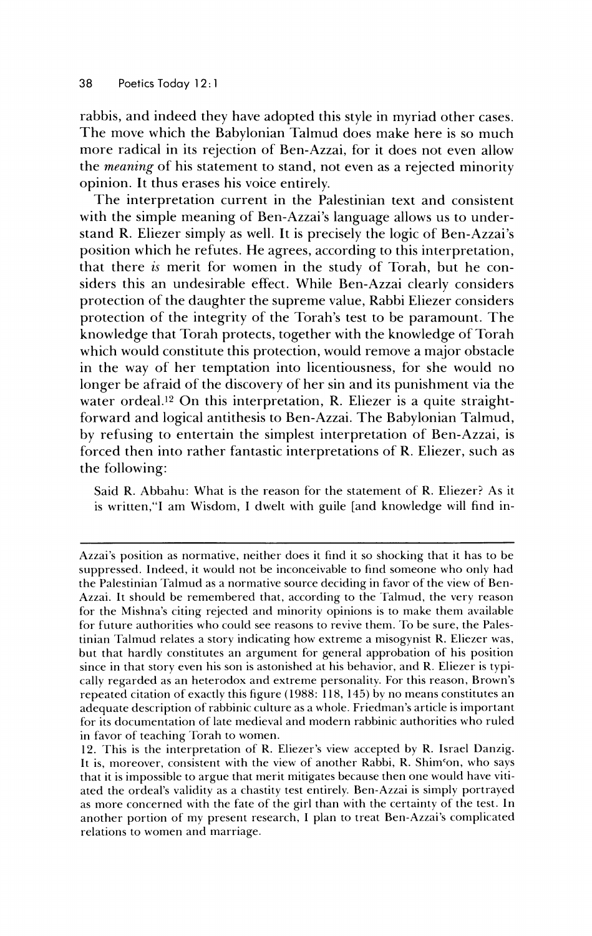**rabbis, and indeed they have adopted this style in myriad other cases. The move which the Babylonian Talmud does make here is so much more radical in its rejection of Ben-Azzai, for it does not even allow the meaning of his statement to stand, not even as a rejected minority opinion. It thus erases his voice entirely.** 

**The interpretation current in the Palestinian text and consistent with the simple meaning of Ben-Azzai's language allows us to understand R. Eliezer simply as well. It is precisely the logic of Ben-Azzai's position which he refutes. He agrees, according to this interpretation, that there is merit for women in the study of Torah, but he considers this an undesirable effect. While Ben-Azzai clearly considers protection of the daughter the supreme value, Rabbi Eliezer considers protection of the integrity of the Torah's test to be paramount. The knowledge that Torah protects, together with the knowledge of Torah which would constitute this protection, would remove a major obstacle in the way of her temptation into licentiousness, for she would no longer be afraid of the discovery of her sin and its punishment via the water ordeal.12 On this interpretation, R. Eliezer is a quite straightforward and logical antithesis to Ben-Azzai. The Babylonian Talmud, by refusing to entertain the simplest interpretation of Ben-Azzai, is forced then into rather fantastic interpretations of R. Eliezer, such as the following:** 

**Said R. Abbahu: What is the reason for the statement of R. Eliezer? As it is written,"I am Wisdom, I dwelt with guile [and knowledge will find in-**

**Azzai's position as normative, neither does it find it so shocking that it has to be suppressed. Indeed, it would not be inconceivable to find someone who only had the Palestinian Talmud as a normative source deciding in favor of the view of Ben-Azzai. It should be remembered that, according to the Talmud, the very reason for the Mishna's citing rejected and minority opinions is to make them available for future authorities who could see reasons to revive them. To be sure, the Palestinian Talmud relates a story indicating how extreme a misogynist R. Eliezer was, but that hardly constitutes an argument for general approbation of his position since in that story even his son is astonished at his behavior, and R. Eliezer is typically regarded as an heterodox and extreme personality. For this reason, Brown's repeated citation of exactly this figure (1988: 118, 145) by no means constitutes an adequate description of rabbinic culture as a whole. Friedman's article is important for its documentation of late medieval and modern rabbinic authorities who ruled in favor of teaching Torah to women.** 

**<sup>12.</sup> This is the interpretation of R. Eliezer's view accepted by R. Israel Danzig. It is, moreover, consistent with the view of another Rabbi, R. Shim'on, who says that it is impossible to argue that merit mitigates because then one would have vitiated the ordeal's validity as a chastity test entirely. Ben-Azzai is simply portrayed as more concerned with the fate of the girl than with the certainty of the test. In another portion of my present research, I plan to treat Ben-Azzai's complicated relations to women and marriage.**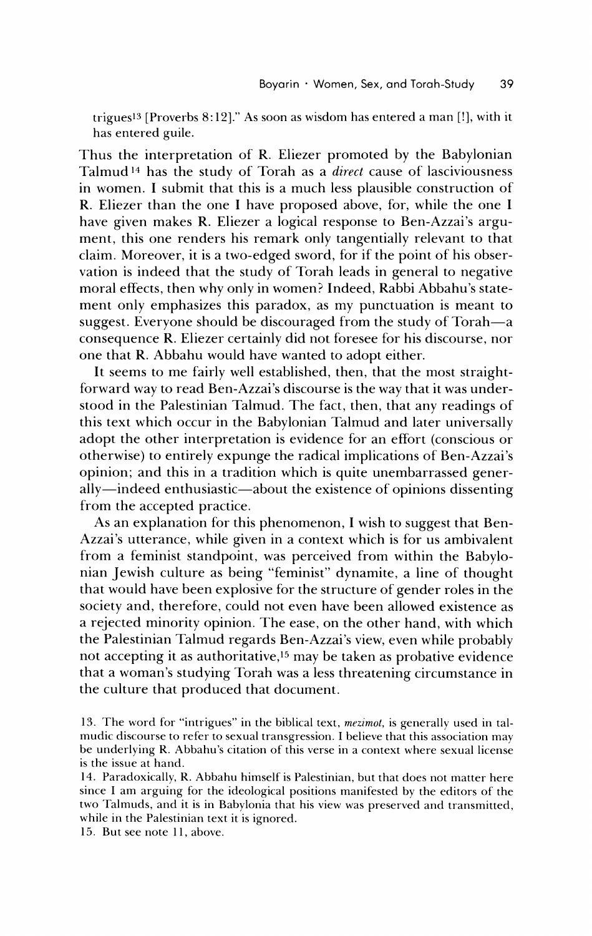**trigues13 [Proverbs 8:12]." As soon as wisdom has entered a man [!], with it has entered guile.** 

**Thus the interpretation of R. Eliezer promoted by the Babylonian Talmud 14 has the study of Torah as a direct cause of lasciviousness in women. I submit that this is a much less plausible construction of R. Eliezer than the one I have proposed above, for, while the one I have given makes R. Eliezer a logical response to Ben-Azzai's argument, this one renders his remark only tangentially relevant to that claim. Moreover, it is a two-edged sword, for if the point of his observation is indeed that the study of Torah leads in general to negative moral effects, then why only in women? Indeed, Rabbi Abbahu's statement only emphasizes this paradox, as my punctuation is meant to suggest. Everyone should be discouraged from the study of Torah-a consequence R. Eliezer certainly did not foresee for his discourse, nor one that R. Abbahu would have wanted to adopt either.** 

**It seems to me fairly well established, then, that the most straightforward way to read Ben-Azzai's discourse is the way that it was understood in the Palestinian Talmud. The fact, then, that any readings of this text which occur in the Babylonian Talmud and later universally adopt the other interpretation is evidence for an effort (conscious or otherwise) to entirely expunge the radical implications of Ben-Azzai's opinion; and this in a tradition which is quite unembarrassed generally-indeed enthusiastic-about the existence of opinions dissenting from the accepted practice.** 

**As an explanation for this phenomenon, I wish to suggest that Ben-Azzai's utterance, while given in a context which is for us ambivalent from a feminist standpoint, was perceived from within the Babylonian Jewish culture as being "feminist" dynamite, a line of thought that would have been explosive for the structure of gender roles in the society and, therefore, could not even have been allowed existence as a rejected minority opinion. The ease, on the other hand, with which the Palestinian Talmud regards Ben-Azzai's view, even while probably not accepting it as authoritative,15 may be taken as probative evidence that a woman's studying Torah was a less threatening circumstance in the culture that produced that document.** 

**15. But see note 11, above.** 

**<sup>13.</sup> The word for "intrigues" in the biblical text, mezimot, is generally used in talmudic discourse to refer to sexual transgression. I believe that this association may be underlying R. Abbahu's citation of this verse in a context where sexual license is the issue at hand.** 

**<sup>14.</sup> Paradoxically, R. Abbahu himself is Palestinian, but that does not matter here since I am arguing for the ideological positions manifested by the editors of the two Talmuds, and it is in Babylonia that his view was preserved and transmitted, while in the Palestinian text it is ignored.**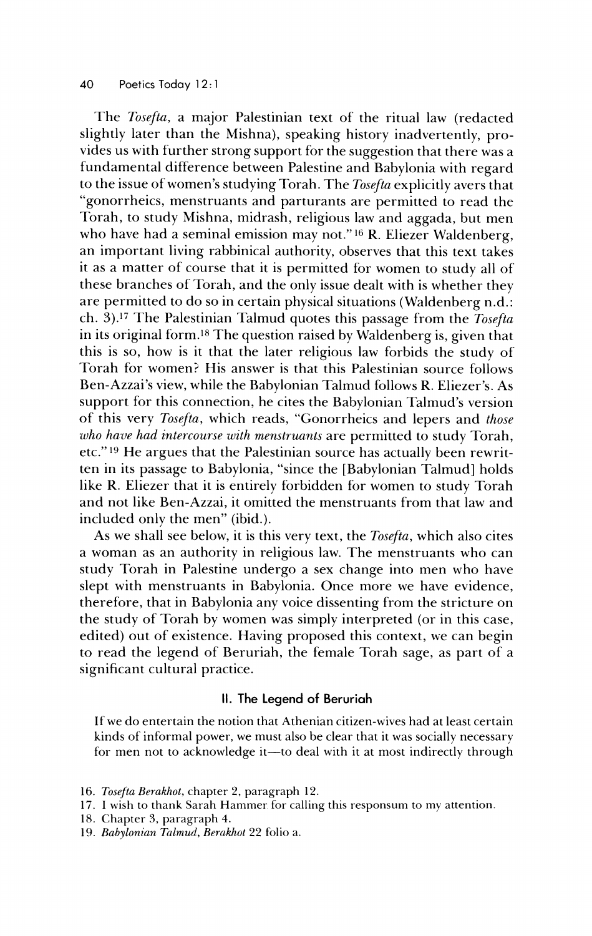**The Tosefta, a major Palestinian text of the ritual law (redacted slightly later than the Mishna), speaking history inadvertently, provides us with further strong support for the suggestion that there was a fundamental difference between Palestine and Babylonia with regard to the issue of women's studying Torah. The Tosefta explicitly avers that "gonorrheics, menstruants and parturants are permitted to read the Torah, to study Mishna, midrash, religious law and aggada, but men who have had a seminal emission may not."16 R. Eliezer Waldenberg, an important living rabbinical authority, observes that this text takes it as a matter of course that it is permitted for women to study all of these branches of Torah, and the only issue dealt with is whether they are permitted to do so in certain physical situations (Waldenberg n.d.: ch. 3).17 The Palestinian Talmud quotes this passage from the Tosefta in its original form.18 The question raised by Waldenberg is, given that this is so, how is it that the later religious law forbids the study of Torah for women? His answer is that this Palestinian source follows Ben-Azzai's view, while the Babylonian Talmud follows R. Eliezer's. As support for this connection, he cites the Babylonian Talmud's version of this very Tosefta, which reads, "Gonorrheics and lepers and those who have had intercourse with menstruants are permitted to study Torah, etc." 19 He argues that the Palestinian source has actually been rewritten in its passage to Babylonia, "since the [Babylonian Talmud] holds like R. Eliezer that it is entirely forbidden for women to study Torah and not like Ben-Azzai, it omitted the menstruants from that law and included only the men" (ibid.).** 

**As we shall see below, it is this very text, the Tosefta, which also cites a woman as an authority in religious law. The menstruants who can study Torah in Palestine undergo a sex change into men who have slept with menstruants in Babylonia. Once more we have evidence, therefore, that in Babylonia any voice dissenting from the stricture on the study of Torah by women was simply interpreted (or in this case, edited) out of existence. Having proposed this context, we can begin to read the legend of Beruriah, the female Torah sage, as part of a significant cultural practice.** 

## **II. The Legend of Beruriah**

**If we do entertain the notion that Athenian citizen-wives had at least certain kinds of informal power, we must also be clear that it was socially necessary**  for men not to acknowledge it—to deal with it at most indirectly through

- **16. Tosefta Berakhot, chapter 2, paragraph 12.**
- **17. I wish to thank Sarah Hammer for calling this responsum to my attention.**
- **18. Chapter 3, paragraph 4.**
- **19. Babylonian Talmud, Berakhot 22 folio a.**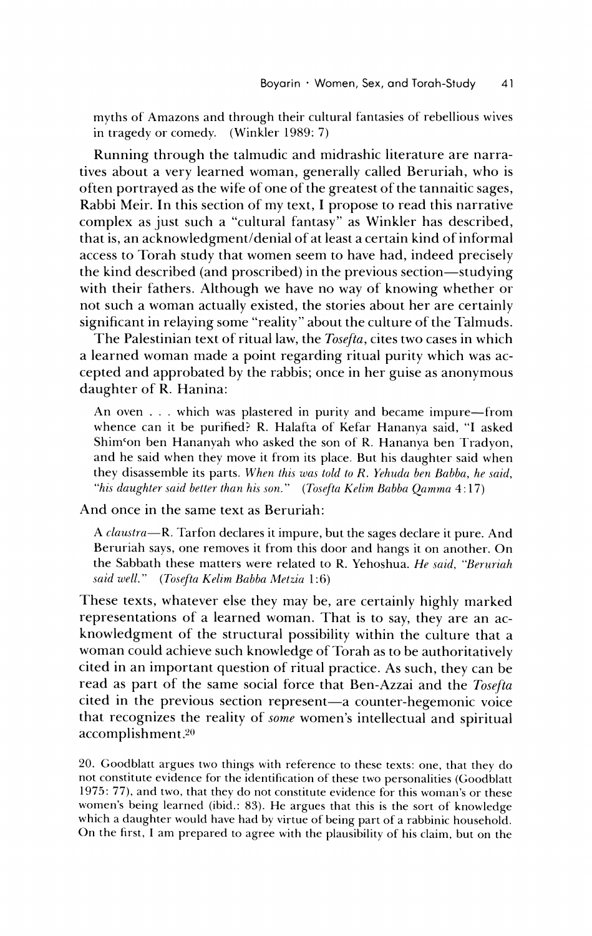**myths of Amazons and through their cultural fantasies of rebellious wives in tragedy or comedy. (Winkler 1989: 7)** 

**Running through the talmudic and midrashic literature are narratives about a very learned woman, generally called Beruriah, who is often portrayed as the wife of one of the greatest of the tannaitic sages, Rabbi Meir. In this section of my text, I propose to read this narrative complex as just such a "cultural fantasy" as Winkler has described, that is, an acknowledgment/denial of at least a certain kind of informal access to Torah study that women seem to have had, indeed precisely the kind described (and proscribed) in the previous section-studying with their fathers. Although we have no way of knowing whether or not such a woman actually existed, the stories about her are certainly significant in relaying some "reality" about the culture of the Talmuds.** 

**The Palestinian text of ritual law, the Tosefta, cites two cases in which a learned woman made a point regarding ritual purity which was accepted and approbated by the rabbis; once in her guise as anonymous daughter of R. Hanina:** 

**An oven . . . which was plastered in purity and became impure-from whence can it be purified? R. Halafta of Kefar Hananya said, "I asked Shim'on ben Hananyah who asked the son of R. Hananya ben Tradyon, and he said when they move it from its place. But his daughter said when they disassemble its parts. When this was told to R. Yehuda ben Babba, he said, "his daughter said better than his son." (Tosefta Kelim Babba Qamma 4:17)** 

**And once in the same text as Beruriah:** 

**A claustra-R. Tarfon declares it impure, but the sages declare it pure. And Beruriah says, one removes it from this door and hangs it on another. On the Sabbath these matters were related to R. Yehoshua. He said, "Beruriah said well." (Tosefta Kelim Babba Metzia 1:6)** 

**These texts, whatever else they may be, are certainly highly marked representations of a learned woman. That is to say, they are an acknowledgment of the structural possibility within the culture that a woman could achieve such knowledge of Torah as to be authoritatively cited in an important question of ritual practice. As such, they can be read as part of the same social force that Ben-Azzai and the Tosefta cited in the previous section represent-a counter-hegemonic voice that recognizes the reality of some women's intellectual and spiritual accomplishment.20** 

**20. Goodblatt argues two things with reference to these texts: one, that they do not constitute evidence for the identification of these two personalities (Goodblatt 1975: 77), and two, that they do not constitute evidence for this woman's or these women's being learned (ibid.: 83). He argues that this is the sort of knowledge which a daughter would have had by virtue of being part of a rabbinic household. On the first, I am prepared to agree with the plausibility of his claim, but on the**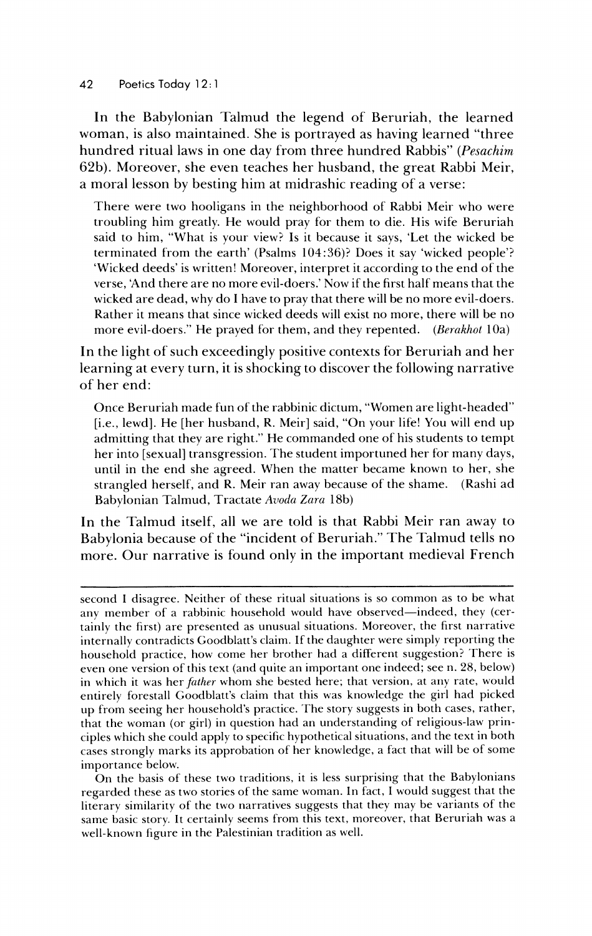**42 Poetics Today 12:1** 

**In the Babylonian Talmud the legend of Beruriah, the learned woman, is also maintained. She is portrayed as having learned "three hundred ritual laws in one day from three hundred Rabbis" (Pesachim 62b). Moreover, she even teaches her husband, the great Rabbi Meir, a moral lesson by besting him at midrashic reading of a verse:** 

**There were two hooligans in the neighborhood of Rabbi Meir who were troubling him greatly. He would pray for them to die. His wife Beruriah said to him, "What is your view? Is it because it says, 'Let the wicked be terminated from the earth' (Psalms 104:36)? Does it say 'wicked people'? 'Wicked deeds' is written! Moreover, interpret it according to the end of the verse, 'And there are no more evil-doers.' Now if the first half means that the wicked are dead, why do I have to pray that there will be no more evil-doers. Rather it means that since wicked deeds will exist no more, there will be no more evil-doers." He prayed for them, and they repented. (Berakhot 10a)** 

**In the light of such exceedingly positive contexts for Beruriah and her learning at every turn, it is shocking to discover the following narrative of her end:** 

**Once Beruriah made fun of the rabbinic dictum, "Women are light-headed" [i.e., lewd]. He [her husband, R. Meir] said, "On your life! You will end up admitting that they are right." He commanded one of his students to tempt her into [sexual] transgression. The student importuned her for many days, until in the end she agreed. When the matter became known to her, she strangled herself, and R. Meir ran away because of the shame. (Rashi ad Babylonian Talmud, Tractate Avoda Zara 18b)** 

**In the Talmud itself, all we are told is that Rabbi Meir ran away to Babylonia because of the "incident of Beruriah." The Talmud tells no more. Our narrative is found only in the important medieval French** 

**second I disagree. Neither of these ritual situations is so common as to be what**  any member of a rabbinic household would have observed-indeed, they (cer**tainly the first) are presented as unusual situations. Moreover, the first narrative internally contradicts Goodblatt's claim. If the daughter were simply reporting the household practice, how come her brother had a different suggestion? There is even one version of this text (and quite an important one indeed; see n. 28, below)**  in which it was her father whom she bested here; that version, at any rate, would **entirely forestall Goodblatt's claim that this was knowledge the girl had picked up from seeing her household's practice. The story suggests in both cases, rather, that the woman (or girl) in question had an understanding of religious-law principles which she could apply to specific hypothetical situations, and the text in both cases strongly marks its approbation of her knowledge, a fact that will be of some importance below.** 

**On the basis of these two traditions, it is less surprising that the Babylonians regarded these as two stories of the same woman. In fact, I would suggest that the literary similarity of the two narratives suggests that they may be variants of the same basic story. It certainly seems from this text, moreover, that Beruriah was a well-known figure in the Palestinian tradition as well.**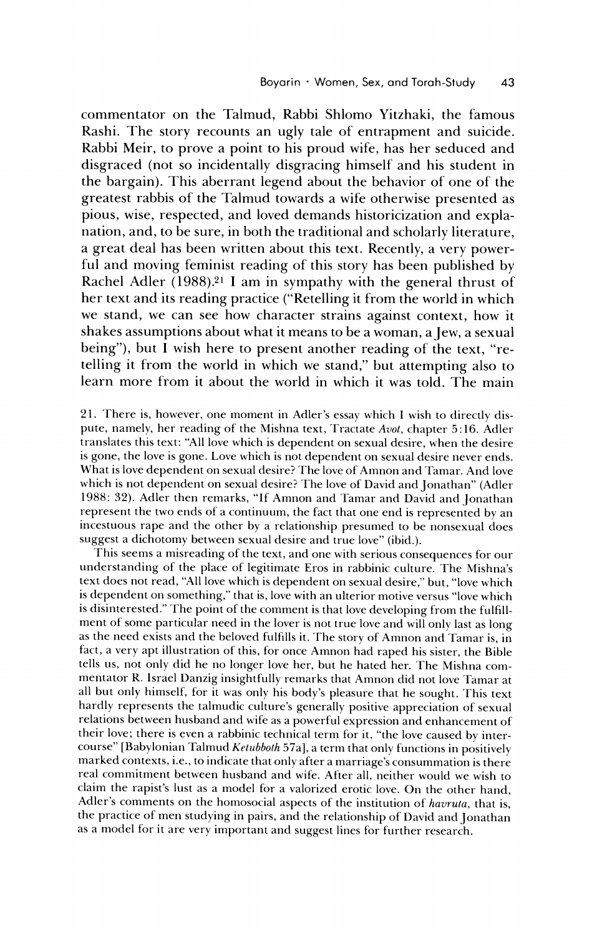**commentator on the Talmud, Rabbi Shlomo Yitzhaki, the famous Rashi. The story recounts an ugly tale of entrapment and suicide. Rabbi Meir, to prove a point to his proud wife, has her seduced and disgraced (not so incidentally disgracing himself and his student in the bargain). This aberrant legend about the behavior of one of the greatest rabbis of the Talmud towards a wife otherwise presented as pious, wise, respected, and loved demands historicization and explanation, and, to be sure, in both the traditional and scholarly literature, a great deal has been written about this text. Recently, a very powerful and moving feminist reading of this story has been published by Rachel Adler (1988).21 I am in sympathy with the general thrust of her text and its reading practice ("Retelling it from the world in which we stand, we can see how character strains against context, how it shakes assumptions about what it means to be a woman, a Jew, a sexual being"), but I wish here to present another reading of the text, "retelling it from the world in which we stand," but attempting also to learn more from it about the world in which it was told. The main** 

**21. There is, however, one moment in Adler's essay which I wish to directly dispute, namely, her reading of the Mishna text, Tractate Avot, chapter 5:16. Adler translates this text: "All love which is dependent on sexual desire, when the desire is gone, the love is gone. Love which is not dependent on sexual desire never ends. What is love dependent on sexual desire? The love of Amnon and Tamar. And love which is not dependent on sexual desire? The love of David and Jonathan" (Adler 1988: 32). Adler then remarks, "If Amnon and Tamar and David and Jonathan represent the two ends of a continuum, the fact that one end is represented by an incestuous rape and the other by a relationship presumed to be nonsexual does suggest a dichotomy between sexual desire and true love" (ibid.).** 

**This seems a misreading of the text, and one with serious consequences for our understanding of the place of legitimate Eros in rabbinic culture. The Mishna's text does not read, "All love which is dependent on sexual desire," but, "love which is dependent on something," that is, love with an ulterior motive versus "love which is disinterested." The point of the comment is that love developing from the fulfillment of some particular need in the lover is not true love and will only last as long as the need exists and the beloved fulfills it. The story of Amnon and Tamar is, in fact, a very apt illustration of this, for once Amnon had raped his sister, the Bible tells us, not only did he no longer love her, but he hated her. The Mishna commentator R. Israel Danzig insightfully remarks that Amnon did not love Tamar at all but only himself, for it was only his body's pleasure that he sought. This text hardly represents the talmudic culture's generally positive appreciation of sexual relations between husband and wife as a powerful expression and enhancement of their love; there is even a rabbinic technical term for it, "the love caused by intercourse" [Babylonian Talmud Ketubboth 57a], a term that only functions in positively marked contexts, i.e., to indicate that only after a marriage's consummation is there real commitment between husband and wife. After all, neither would we wish to claim the rapist's lust as a model for a valorized erotic love. On the other hand, Adler's comments on the homosocial aspects of the institution of havruta, that is, the practice of men studying in pairs, and the relationship of David and Jonathan as a model for it are very important and suggest lines for further research.**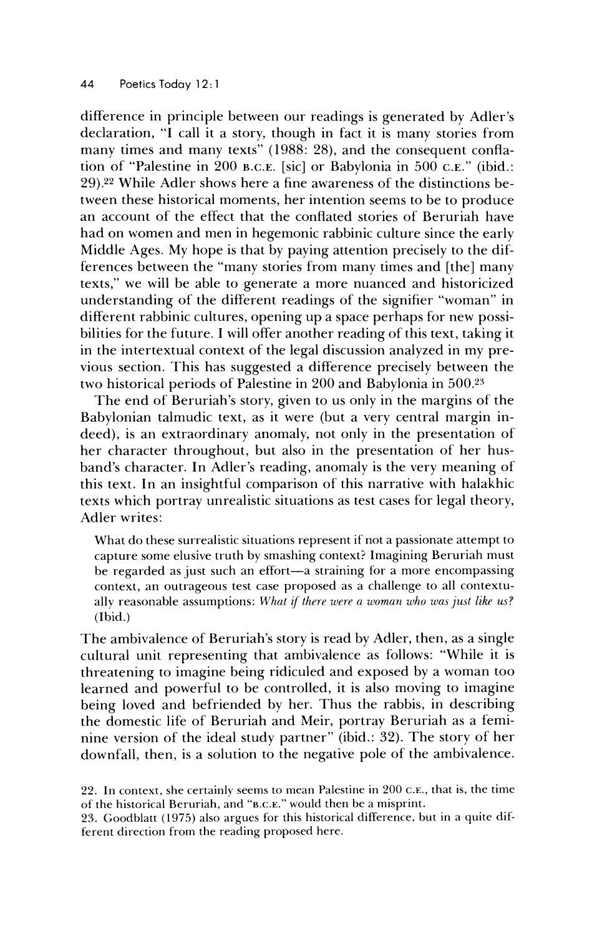**difference in principle between our readings is generated by Adler's declaration, "I call it a story, though in fact it is many stories from many times and many texts" (1988: 28), and the consequent conflation of "Palestine in 200 B.C.E. [sic] or Babylonia in 500 C.E." (ibid.: 29).22 While Adler shows here a fine awareness of the distinctions between these historical moments, her intention seems to be to produce an account of the effect that the conflated stories of Beruriah have had on women and men in hegemonic rabbinic culture since the early Middle Ages. My hope is that by paying attention precisely to the differences between the "many stories from many times and [the] many texts," we will be able to generate a more nuanced and historicized understanding of the different readings of the signifier "woman" in different rabbinic cultures, opening up a space perhaps for new possibilities for the future. I will offer another reading of this text, taking it in the intertextual context of the legal discussion analyzed in my previous section. This has suggested a difference precisely between the two historical periods of Palestine in 200 and Babylonia in 500.23** 

**The end of Beruriah's story, given to us only in the margins of the Babylonian talmudic text, as it were (but a very central margin indeed), is an extraordinary anomaly, not only in the presentation of her character throughout, but also in the presentation of her husband's character. In Adler's reading, anomaly is the very meaning of this text. In an insightful comparison of this narrative with halakhic texts which portray unrealistic situations as test cases for legal theory, Adler writes:** 

**What do these surrealistic situations represent if not a passionate attempt to capture some elusive truth by smashing context? Imagining Beruriah must be regarded as just such an effort-a straining for a more encompassing context, an outrageous test case proposed as a challenge to all contextually reasonable assumptions: What if there were a woman who was just like us? (Ibid.)** 

**The ambivalence of Beruriah's story is read by Adler, then, as a single cultural unit representing that ambivalence as follows: "While it is threatening to imagine being ridiculed and exposed by a woman too learned and powerful to be controlled, it is also moving to imagine being loved and befriended by her. Thus the rabbis, in describing the domestic life of Beruriah and Meir, portray Beruriah as a feminine version of the ideal study partner" (ibid.: 32). The story of her downfall, then, is a solution to the negative pole of the ambivalence.** 

**<sup>22.</sup> In context, she certainly seems to mean Palestine in 200 c.E., that is, the time of the historical Beruriah, and "B.C.E." would then be a misprint.** 

**<sup>23.</sup> Goodblatt (1975) also argues for this historical difference, but in a quite different direction from the reading proposed here.**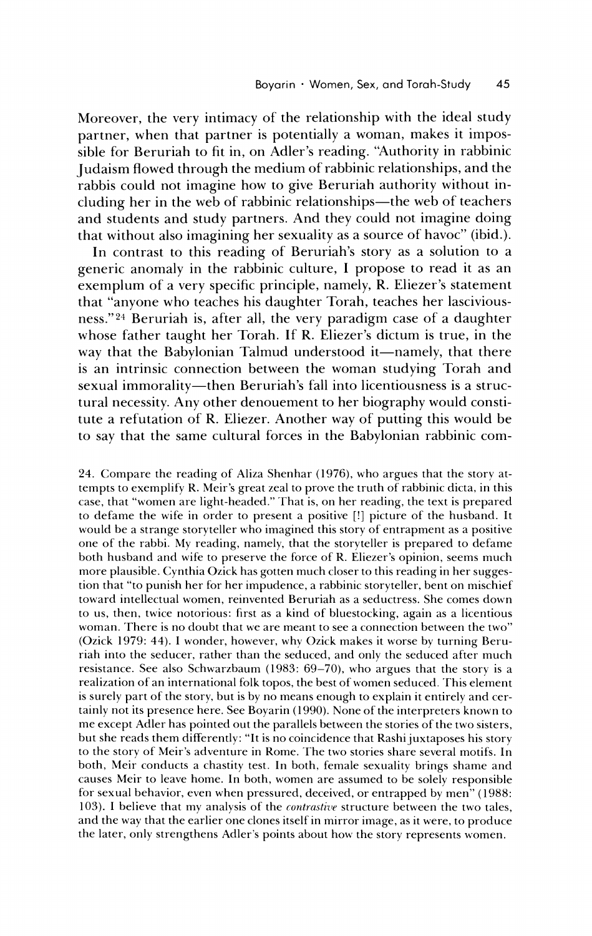**Moreover, the very intimacy of the relationship with the ideal study partner, when that partner is potentially a woman, makes it impossible for Beruriah to fit in, on Adler's reading. "Authority in rabbinic Judaism flowed through the medium of rabbinic relationships, and the rabbis could not imagine how to give Beruriah authority without in**cluding her in the web of rabbinic relationships—the web of teachers **and students and study partners. And they could not imagine doing that without also imagining her sexuality as a source of havoc" (ibid.).** 

**In contrast to this reading of Beruriah's story as a solution to a generic anomaly in the rabbinic culture, I propose to read it as an exemplum of a very specific principle, namely, R. Eliezer's statement that "anyone who teaches his daughter Torah, teaches her lasciviousness."24 Beruriah is, after all, the very paradigm case of a daughter whose father taught her Torah. If R. Eliezer's dictum is true, in the**  way that the Babylonian Talmud understood it—namely, that there **is an intrinsic connection between the woman studying Torah and**  sexual immorality—then Beruriah's fall into licentiousness is a struc**tural necessity. Any other denouement to her biography would constitute a refutation of R. Eliezer. Another way of putting this would be to say that the same cultural forces in the Babylonian rabbinic com-**

**24. Compare the reading of Aliza Shenhar (1976), who argues that the story attempts to exemplify R. Meir's great zeal to prove the truth of rabbinic dicta, in this case, that "women are light-headed." That is, on her reading, the text is prepared to defame the wife in order to present a positive [!] picture of the husband. It would be a strange storyteller who imagined this story of entrapment as a positive one of the rabbi. My reading, namely, that the storyteller is prepared to defame both husband and wife to preserve the force of R. Eliezer's opinion, seems much more plausible. Cynthia Ozick has gotten much closer to this reading in her suggestion that "to punish her for her impudence, a rabbinic storyteller, bent on mischief toward intellectual women, reinvented Beruriah as a seductress. She comes down to us, then, twice notorious: first as a kind of bluestocking, again as a licentious woman. There is no doubt that we are meant to see a connection between the two" (Ozick 1979: 44). I wonder, however, why Ozick makes it worse by turning Beruriah into the seducer, rather than the seduced, and only the seduced after much resistance. See also Schwarzbaum (1983: 69-70), who argues that the story is a realization of an international folk topos, the best of women seduced. This element is surely part of the story, but is by no means enough to explain it entirely and certainly not its presence here. See Boyarin (1990). None of the interpreters known to me except Adler has pointed out the parallels between the stories of the two sisters, but she reads them differently: "It is no coincidence that Rashi juxtaposes his story to the story of Meir's adventure in Rome. The two stories share several motifs. In both, Meir conducts a chastity test. In both, female sexuality brings shame and causes Meir to leave home. In both, women are assumed to be solely responsible for sexual behavior, even when pressured, deceived, or entrapped by men" (1988:**  103). I believe that my analysis of the *contrastive* structure between the two tales, **and the way that the earlier one clones itself in mirror image, as it were, to produce the later, only strengthens Adler's points about how the story represents women.**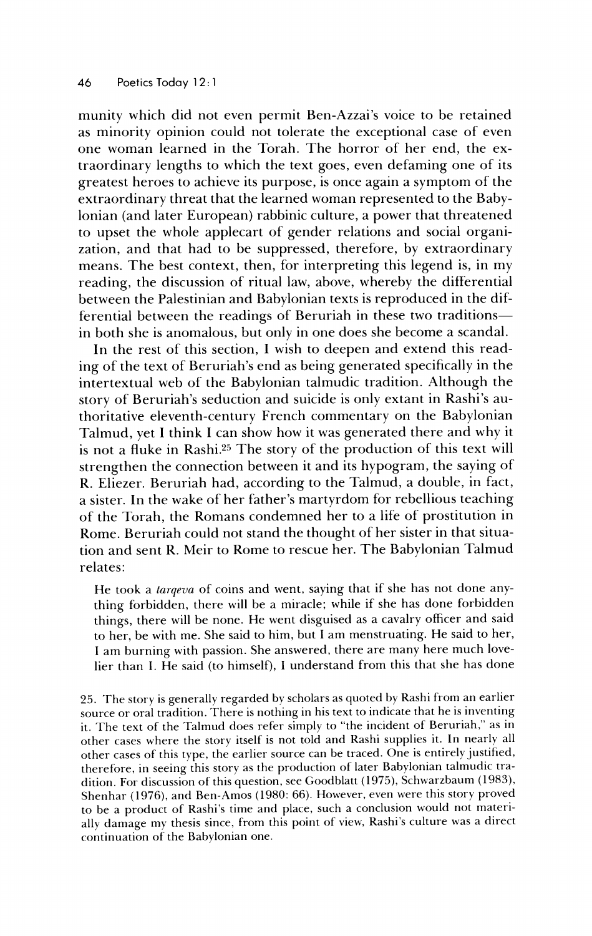**munity which did not even permit Ben-Azzai's voice to be retained as minority opinion could not tolerate the exceptional case of even one woman learned in the Torah. The horror of her end, the extraordinary lengths to which the text goes, even defaming one of its greatest heroes to achieve its purpose, is once again a symptom of the extraordinary threat that the learned woman represented to the Babylonian (and later European) rabbinic culture, a power that threatened to upset the whole applecart of gender relations and social organization, and that had to be suppressed, therefore, by extraordinary means. The best context, then, for interpreting this legend is, in my reading, the discussion of ritual law, above, whereby the differential between the Palestinian and Babylonian texts is reproduced in the differential between the readings of Beruriah in these two traditionsin both she is anomalous, but only in one does she become a scandal.** 

**In the rest of this section, I wish to deepen and extend this reading of the text of Beruriah's end as being generated specifically in the intertextual web of the Babylonian talmudic tradition. Although the story of Beruriah's seduction and suicide is only extant in Rashi's authoritative eleventh-century French commentary on the Babylonian Talmud, yet I think I can show how it was generated there and why it is not a fluke in Rashi.25 The story of the production of this text will strengthen the connection between it and its hypogram, the saying of R. Eliezer. Beruriah had, according to the Talmud, a double, in fact, a sister. In the wake of her father's martyrdom for rebellious teaching of the Torah, the Romans condemned her to a life of prostitution in Rome. Beruriah could not stand the thought of her sister in that situation and sent R. Meir to Rome to rescue her. The Babylonian Talmud relates:** 

**He took a tarqeva of coins and went, saying that if she has not done anything forbidden, there will be a miracle; while if she has done forbidden things, there will be none. He went disguised as a cavalry officer and said to her, be with me. She said to him, but I am menstruating. He said to her, I am burning with passion. She answered, there are many here much lovelier than I. He said (to himself), I understand from this that she has done** 

**25. The story is generally regarded by scholars as quoted by Rashi from an earlier source or oral tradition. There is nothing in his text to indicate that he is inventing it. The text of the Talmud does refer simply to "the incident of Beruriah," as in other cases where the story itself is not told and Rashi supplies it. In nearly all other cases of this type, the earlier source can be traced. One is entirely justified, therefore, in seeing this story as the production of later Babylonian talmudic tradition. For discussion of this question, see Goodblatt (1975), Schwarzbaum (1983), Shenhar (1976), and Ben-Amos (1980: 66). However, even were this story proved to be a product of Rashi's time and place, such a conclusion would not materially damage my thesis since, from this point of view, Rashi's culture was a direct continuation of the Babylonian one.**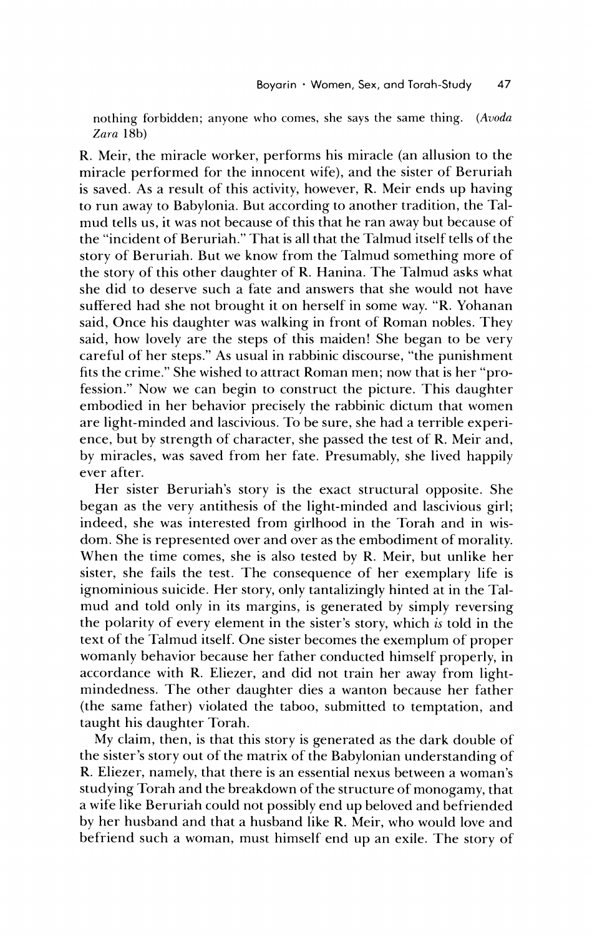**nothing forbidden; anyone who comes, she says the same thing. (Avoda Zara 18b)** 

**R. Meir, the miracle worker, performs his miracle (an allusion to the miracle performed for the innocent wife), and the sister of Beruriah is saved. As a result of this activity, however, R. Meir ends up having to run away to Babylonia. But according to another tradition, the Talmud tells us, it was not because of this that he ran away but because of the "incident of Beruriah." That is all that the Talmud itself tells of the story of Beruriah. But we know from the Talmud something more of the story of this other daughter of R. Hanina. The Talmud asks what she did to deserve such a fate and answers that she would not have suffered had she not brought it on herself in some way. "R. Yohanan said, Once his daughter was walking in front of Roman nobles. They said, how lovely are the steps of this maiden! She began to be very careful of her steps." As usual in rabbinic discourse, "the punishment fits the crime." She wished to attract Roman men; now that is her "profession." Now we can begin to construct the picture. This daughter embodied in her behavior precisely the rabbinic dictum that women are light-minded and lascivious. To be sure, she had a terrible experience, but by strength of character, she passed the test of R. Meir and, by miracles, was saved from her fate. Presumably, she lived happily ever after.** 

**Her sister Beruriah's story is the exact structural opposite. She began as the very antithesis of the light-minded and lascivious girl; indeed, she was interested from girlhood in the Torah and in wisdom. She is represented over and over as the embodiment of morality. When the time comes, she is also tested by R. Meir, but unlike her sister, she fails the test. The consequence of her exemplary life is ignominious suicide. Her story, only tantalizingly hinted at in the Talmud and told only in its margins, is generated by simply reversing the polarity of every element in the sister's story, which is told in the text of the Talmud itself. One sister becomes the exemplum of proper womanly behavior because her father conducted himself properly, in accordance with R. Eliezer, and did not train her away from lightmindedness. The other daughter dies a wanton because her father (the same father) violated the taboo, submitted to temptation, and taught his daughter Torah.** 

**My claim, then, is that this story is generated as the dark double of the sister's story out of the matrix of the Babylonian understanding of R. Eliezer, namely, that there is an essential nexus between a woman's studying Torah and the breakdown of the structure of monogamy, that a wife like Beruriah could not possibly end up beloved and befriended by her husband and that a husband like R. Meir, who would love and befriend such a woman, must himself end up an exile. The story of**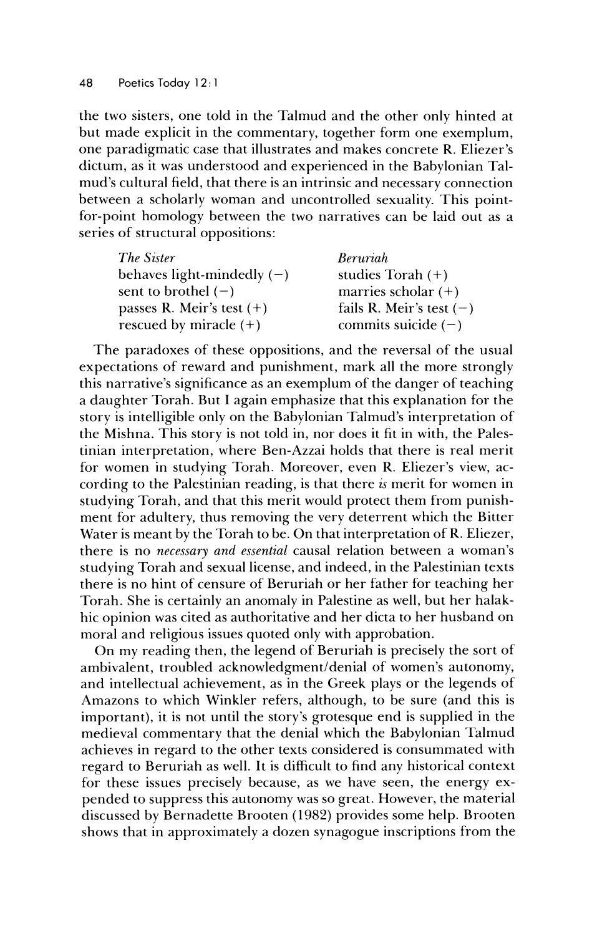**the two sisters, one told in the Talmud and the other only hinted at but made explicit in the commentary, together form one exemplum, one paradigmatic case that illustrates and makes concrete R. Eliezer's dictum, as it was understood and experienced in the Babylonian Talmud's cultural field, that there is an intrinsic and necessary connection between a scholarly woman and uncontrolled sexuality. This pointfor-point homology between the two narratives can be laid out as a series of structural oppositions:** 

| The Sister                   | Beruriah                   |
|------------------------------|----------------------------|
| behaves light-mindedly $(-)$ | studies Torah $(+)$        |
| sent to brothel $(-)$        | marries scholar $(+)$      |
| passes R. Meir's test $(+)$  | fails R. Meir's test $(-)$ |
| rescued by miracle $(+)$     | commits suicide $(-)$      |

**The paradoxes of these oppositions, and the reversal of the usual expectations of reward and punishment, mark all the more strongly this narrative's significance as an exemplum of the danger of teaching a daughter Torah. But I again emphasize that this explanation for the story is intelligible only on the Babylonian Talmud's interpretation of the Mishna. This story is not told in, nor does it fit in with, the Palestinian interpretation, where Ben-Azzai holds that there is real merit for women in studying Torah. Moreover, even R. Eliezer's view, according to the Palestinian reading, is that there is merit for women in studying Torah, and that this merit would protect them from punishment for adultery, thus removing the very deterrent which the Bitter Water is meant by the Torah to be. On that interpretation of R. Eliezer, there is no necessary and essential causal relation between a woman's studying Torah and sexual license, and indeed, in the Palestinian texts there is no hint of censure of Beruriah or her father for teaching her Torah. She is certainly an anomaly in Palestine as well, but her halakhic opinion was cited as authoritative and her dicta to her husband on moral and religious issues quoted only with approbation.** 

**On my reading then, the legend of Beruriah is precisely the sort of ambivalent, troubled acknowledgment/denial of women's autonomy, and intellectual achievement, as in the Greek plays or the legends of Amazons to which Winkler refers, although, to be sure (and this is important), it is not until the story's grotesque end is supplied in the medieval commentary that the denial which the Babylonian Talmud achieves in regard to the other texts considered is consummated with regard to Beruriah as well. It is difficult to find any historical context for these issues precisely because, as we have seen, the energy expended to suppress this autonomy was so great. However, the material discussed by Bernadette Brooten (1982) provides some help. Brooten shows that in approximately a dozen synagogue inscriptions from the**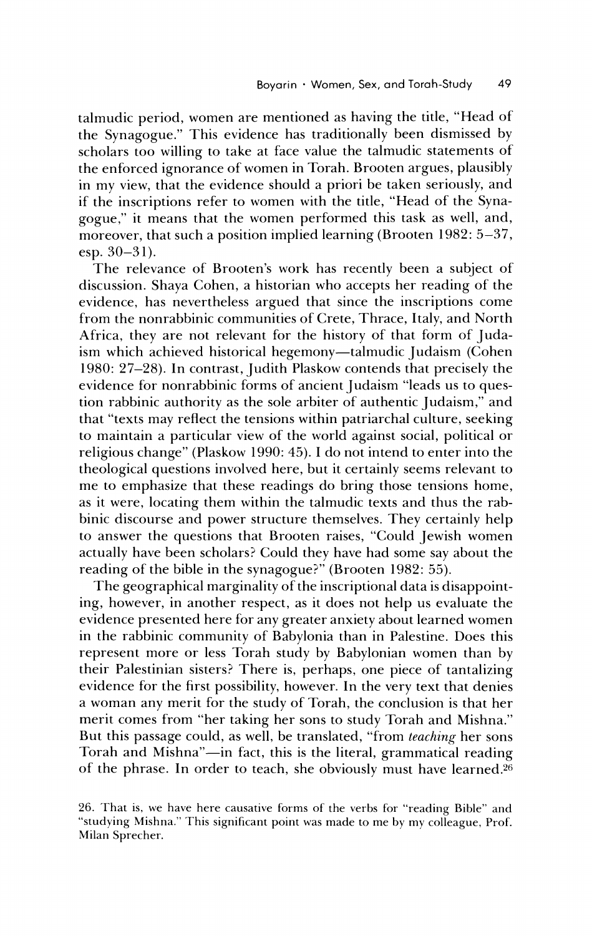**talmudic period, women are mentioned as having the title, "Head of the Synagogue." This evidence has traditionally been dismissed by scholars too willing to take at face value the talmudic statements of the enforced ignorance of women in Torah. Brooten argues, plausibly in my view, that the evidence should a priori be taken seriously, and if the inscriptions refer to women with the title, "Head of the Synagogue," it means that the women performed this task as well, and, moreover, that such a position implied learning (Brooten 1982: 5-37, esp. 30-31).** 

**The relevance of Brooten's work has recently been a subject of discussion. Shaya Cohen, a historian who accepts her reading of the evidence, has nevertheless argued that since the inscriptions come from the nonrabbinic communities of Crete, Thrace, Italy, and North Africa, they are not relevant for the history of that form of Judaism which achieved historical hegemony-talmudic Judaism (Cohen 1980: 27-28). In contrast, Judith Plaskow contends that precisely the evidence for nonrabbinic forms of ancient Judaism "leads us to question rabbinic authority as the sole arbiter of authentic Judaism," and that "texts may reflect the tensions within patriarchal culture, seeking to maintain a particular view of the world against social, political or religious change" (Plaskow 1990: 45). I do not intend to enter into the theological questions involved here, but it certainly seems relevant to me to emphasize that these readings do bring those tensions home, as it were, locating them within the talmudic texts and thus the rabbinic discourse and power structure themselves. They certainly help to answer the questions that Brooten raises, "Could Jewish women actually have been scholars? Could they have had some say about the reading of the bible in the synagogue?" (Brooten 1982: 55).** 

**The geographical marginality of the inscriptional data is disappointing, however, in another respect, as it does not help us evaluate the evidence presented here for any greater anxiety about learned women in the rabbinic community of Babylonia than in Palestine. Does this represent more or less Torah study by Babylonian women than by their Palestinian sisters? There is, perhaps, one piece of tantalizing evidence for the first possibility, however. In the very text that denies a woman any merit for the study of Torah, the conclusion is that her merit comes from "her taking her sons to study Torah and Mishna." But this passage could, as well, be translated, "from teaching her sons**  Torah and Mishna"-in fact, this is the literal, grammatical reading **of the phrase. In order to teach, she obviously must have learned.26** 

**<sup>26.</sup> That is, we have here causative forms of the verbs for "reading Bible" and "studying Mishna." This significant point was made to me by my colleague, Prof. Milan Sprecher.**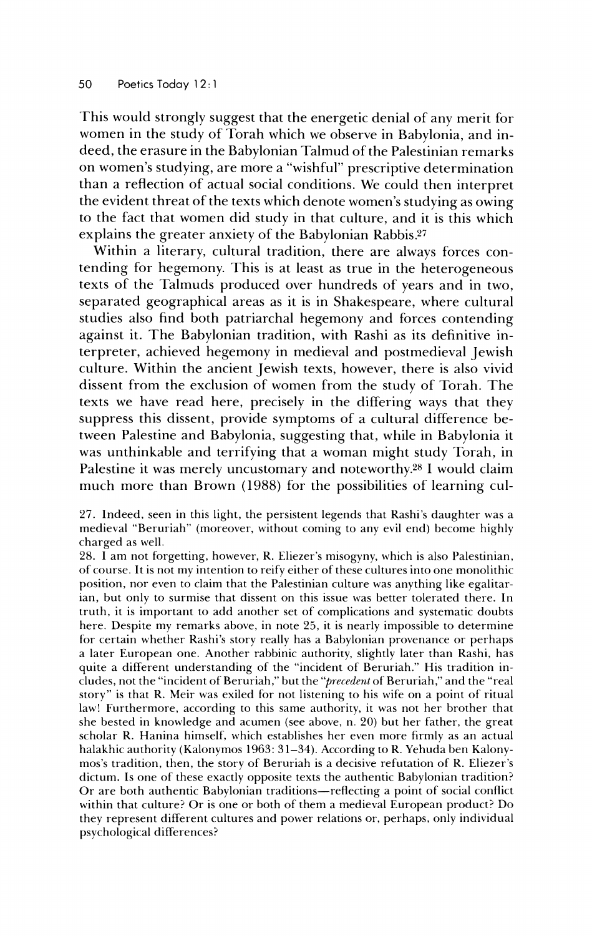**This would strongly suggest that the energetic denial of any merit for women in the study of Torah which we observe in Babylonia, and indeed, the erasure in the Babylonian Talmud of the Palestinian remarks on women's studying, are more a "wishful" prescriptive determination than a reflection of actual social conditions. We could then interpret the evident threat of the texts which denote women's studying as owing to the fact that women did study in that culture, and it is this which explains the greater anxiety of the Babylonian Rabbis.27** 

**Within a literary, cultural tradition, there are always forces contending for hegemony. This is at least as true in the heterogeneous texts of the Talmuds produced over hundreds of years and in two, separated geographical areas as it is in Shakespeare, where cultural studies also find both patriarchal hegemony and forces contending against it. The Babylonian tradition, with Rashi as its definitive interpreter, achieved hegemony in medieval and postmedieval Jewish culture. Within the ancient Jewish texts, however, there is also vivid dissent from the exclusion of women from the study of Torah. The texts we have read here, precisely in the differing ways that they suppress this dissent, provide symptoms of a cultural difference between Palestine and Babylonia, suggesting that, while in Babylonia it was unthinkable and terrifying that a woman might study Torah, in Palestine it was merely uncustomary and noteworthy.28 I would claim much more than Brown (1988) for the possibilities of learning cul-**

**27. Indeed, seen in this light, the persistent legends that Rashi's daughter was a medieval "Beruriah" (moreover, without coming to any evil end) become highly charged as well.** 

**28. I am not forgetting, however, R. Eliezer's misogyny, which is also Palestinian, of course. It is not my intention to reify either of these cultures into one monolithic position, nor even to claim that the Palestinian culture was anything like egalitarian, but only to surmise that dissent on this issue was better tolerated there. In truth, it is important to add another set of complications and systematic doubts here. Despite my remarks above, in note 25, it is nearly impossible to determine for certain whether Rashi's story really has a Babylonian provenance or perhaps a later European one. Another rabbinic authority, slightly later than Rashi, has quite a different understanding of the "incident of Beruriah." His tradition includes, not the "incident of Beruriah," but the "precedent of Beruriah," and the "real story" is that R. Meir was exiled for not listening to his wife on a point of ritual law! Furthermore, according to this same authority, it was not her brother that she bested in knowledge and acumen (see above, n. 20) but her father, the great scholar R. Hanina himself, which establishes her even more firmly as an actual halakhic authority (Kalonymos 1963: 31-34). According to R. Yehuda ben Kalonymos's tradition, then, the story of Beruriah is a decisive refutation of R. Eliezer's dictum. Is one of these exactly opposite texts the authentic Babylonian tradition?**  Or are both authentic Babylonian traditions-reflecting a point of social conflict **within that culture? Or is one or both of them a medieval European product? Do they represent different cultures and power relations or, perhaps, only individual psychological differences?**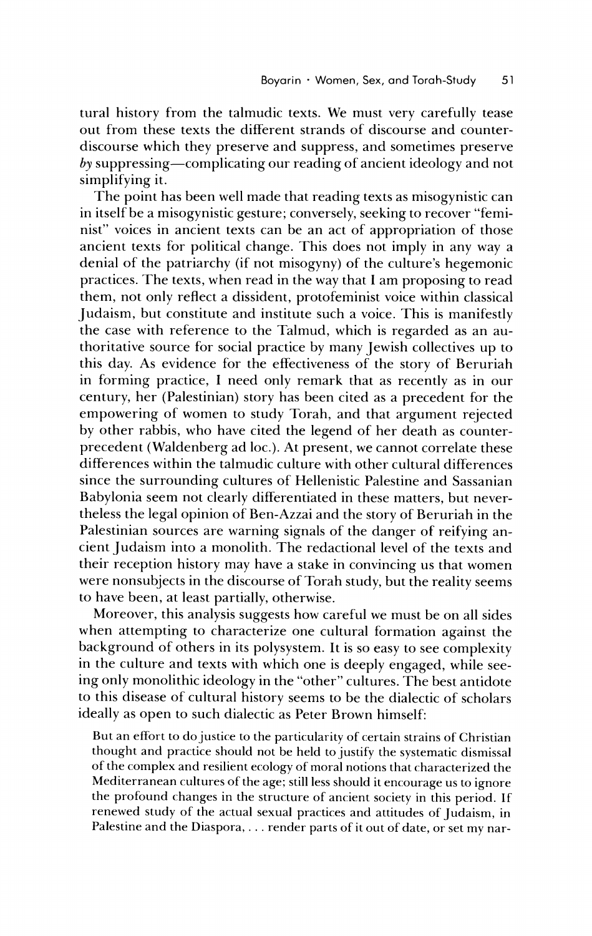**tural history from the talmudic texts. We must very carefully tease out from these texts the different strands of discourse and counterdiscourse which they preserve and suppress, and sometimes preserve by suppressing-complicating our reading of ancient ideology and not simplifying it.** 

**The point has been well made that reading texts as misogynistic can in itself be a misogynistic gesture; conversely, seeking to recover "feminist" voices in ancient texts can be an act of appropriation of those ancient texts for political change. This does not imply in any way a denial of the patriarchy (if not misogyny) of the culture's hegemonic practices. The texts, when read in the way that I am proposing to read them, not only reflect a dissident, protofeminist voice within classical Judaism, but constitute and institute such a voice. This is manifestly the case with reference to the Talmud, which is regarded as an authoritative source for social practice by many Jewish collectives up to this day. As evidence for the effectiveness of the story of Beruriah in forming practice, I need only remark that as recently as in our century, her (Palestinian) story has been cited as a precedent for the empowering of women to study Torah, and that argument rejected by other rabbis, who have cited the legend of her death as counterprecedent (Waldenberg ad loc.). At present, we cannot correlate these differences within the talmudic culture with other cultural differences since the surrounding cultures of Hellenistic Palestine and Sassanian Babylonia seem not clearly differentiated in these matters, but nevertheless the legal opinion of Ben-Azzai and the story of Beruriah in the Palestinian sources are warning signals of the danger of reifying ancient Judaism into a monolith. The redactional level of the texts and their reception history may have a stake in convincing us that women were nonsubjects in the discourse of Torah study, but the reality seems to have been, at least partially, otherwise.** 

**Moreover, this analysis suggests how careful we must be on all sides when attempting to characterize one cultural formation against the background of others in its polysystem. It is so easy to see complexity in the culture and texts with which one is deeply engaged, while seeing only monolithic ideology in the "other" cultures. The best antidote to this disease of cultural history seems to be the dialectic of scholars ideally as open to such dialectic as Peter Brown himself:** 

**But an effort to do justice to the particularity of certain strains of Christian thought and practice should not be held to justify the systematic dismissal of the complex and resilient ecology of moral notions that characterized the Mediterranean cultures of the age; still less should it encourage us to ignore the profound changes in the structure of ancient society in this period. If renewed study of the actual sexual practices and attitudes of Judaism, in Palestine and the Diaspora, . . . render parts of it out of date, or set my nar-**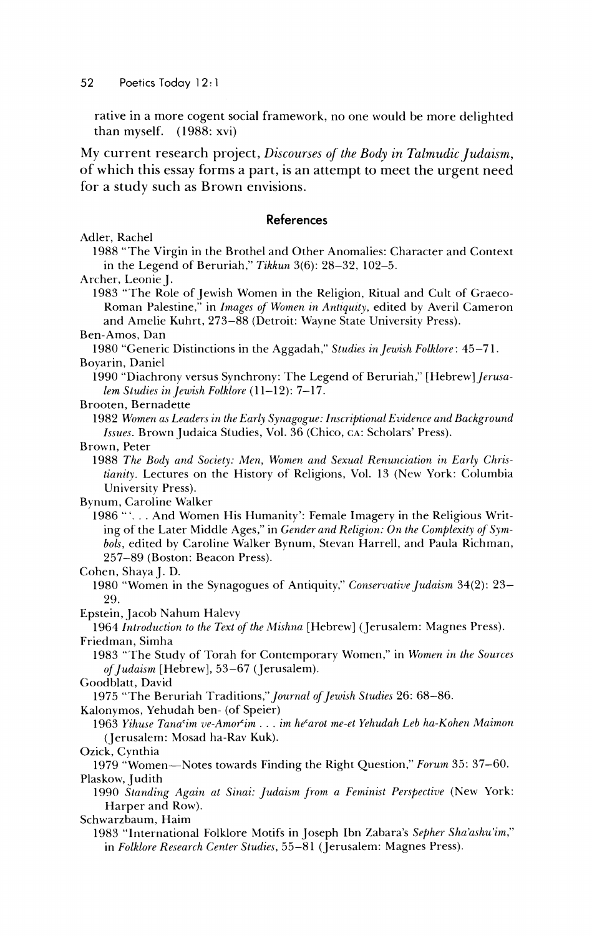**52 Poetics Today 12:1** 

**rative in a more cogent social framework, no one would be more delighted than myself. (1988: xvi)** 

**My current research project, Discourses of the Body in Talmudic Judaism, of which this essay forms a part, is an attempt to meet the urgent need for a study such as Brown envisions.** 

# **References**

**Adler, Rachel** 

**1988 "The Virgin in the Brothel and Other Anomalies: Character and Context in the Legend of Beruriah," Tikkun 3(6): 28-32, 102-5.** 

**Archer, Leonie J.** 

**1983 "The Role of Jewish Women in the Religion, Ritual and Cult of Graeco-Roman Palestine," in Images of Women in Antiquity, edited by Averil Cameron and Amelie Kuhrt, 273-88 (Detroit: Wayne State University Press).** 

#### **Ben-Amos, Dan**

**1980 "Generic Distinctions in the Aggadah," Studies in Jewish Folklore: 45-71. Boyarin, Daniel** 

1990 "Diachrony versus Synchrony: The Legend of Beruriah," [Hebrew] *Jerusa***lem Studies in Jewish Folklore (11-12): 7-17.** 

**Brooten, Bernadette** 

**1982 Women as Leaders in the Early Synagogue: Inscriptional Evidence and Background Issues. Brown Judaica Studies, Vol. 36 (Chico, CA: Scholars' Press).** 

## **Brown, Peter**

**1988 The Body and Society: Men, Women and Sexual Renunciation in Early Christianity. Lectures on the History of Religions, Vol. 13 (New York: Columbia University Press).** 

**Bynum, Caroline Walker** 

**1986 "'. . . And Women His Humanity': Female Imagery in the Religious Writing of the Later Middle Ages," in Gender and Religion: On the Complexity of Symbols, edited by Caroline Walker Bynum, Stevan Harrell, and Paula Richman, 257-89 (Boston: Beacon Press).** 

Cohen, Shaya J. D.

**1980 "Women in the Synagogues of Antiquity," Conservative Judaism 34(2): 23- 29.** 

**Epstein, Jacob Nahum Halevy** 

**1964 Introduction to the Text of the Mishna [Hebrew] (Jerusalem: Magnes Press). Friedman, Simha** 

**1983 "The Study of Torah for Contemporary Women," in Women in the Sources**  of *Judaism* [Hebrew], 53-67 (Jerusalem).

**1975 "The Beruriah Traditions," Journal of Jewish Studies 26: 68-86.** 

**Kalonymos, Yehudah ben- (of Speier)** 

**1963 Yihuse Tana'im ve-Amor'im . . . im he'arot me-et Yehudah Leb ha-Kohen Maimon (Jerusalem: Mosad ha-Rav Kuk).** 

#### **Ozick, Cynthia**

**1979 "Women-Notes towards Finding the Right Question," Forum 35: 37-60. Plaskow, Judith** 

**1990 Standing Again at Sinai: Judaism from a Feminist Perspective (New York: Harper and Row).** 

**Schwarzbaum, Haim** 

**1983 "International Folklore Motifs in Joseph Ibn Zabara's Sepher Sha'ashu'im," in Folklore Research Center Studies, 55-81 (Jerusalem: Magnes Press).** 

**Goodblatt, David**